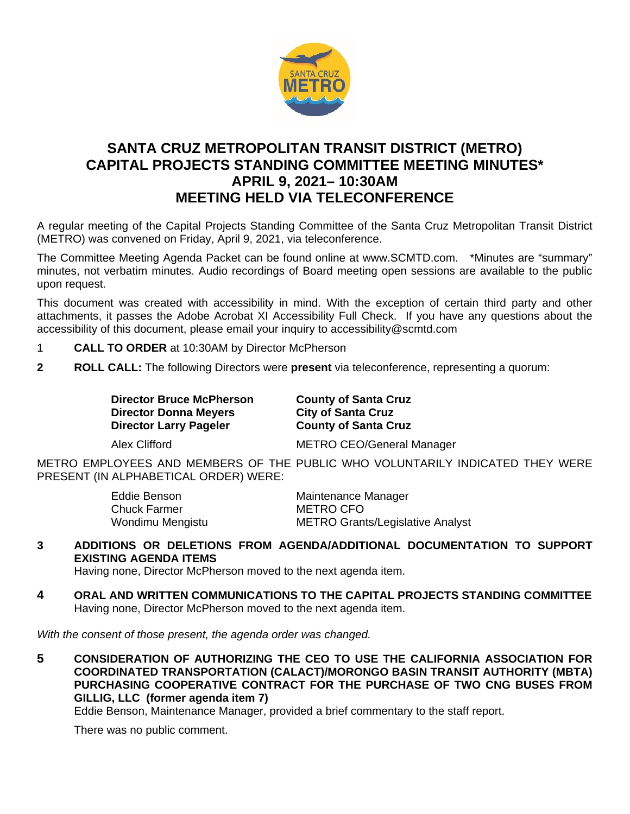

## **SANTA CRUZ METROPOLITAN TRANSIT DISTRICT (METRO) CAPITAL PROJECTS STANDING COMMITTEE MEETING MINUTES\* APRIL 9, 2021– 10:30AM MEETING HELD VIA TELECONFERENCE**

A regular meeting of the Capital Projects Standing Committee of the Santa Cruz Metropolitan Transit District (METRO) was convened on Friday, April 9, 2021, via teleconference.

The Committee Meeting Agenda Packet can be found online at www.SCMTD.com. \*Minutes are "summary" minutes, not verbatim minutes. Audio recordings of Board meeting open sessions are available to the public upon request.

This document was created with accessibility in mind. With the exception of certain third party and other attachments, it passes the Adobe Acrobat XI Accessibility Full Check. If you have any questions about the accessibility of this document, please email your inquiry to accessibility@scmtd.com

- 1 **CALL TO ORDER** at 10:30AM by Director McPherson
- **2 ROLL CALL:** The following Directors were **present** via teleconference, representing a quorum:

**Director Bruce McPherson County of Santa Cruz Director Donna Meyers City of Santa Cruz<br>Director Larry Pageler County of Santa Cruz Director Larry Pageler** 

Alex Clifford METRO CEO/General Manager

METRO EMPLOYEES AND MEMBERS OF THE PUBLIC WHO VOLUNTARILY INDICATED THEY WERE PRESENT (IN ALPHABETICAL ORDER) WERE:

| Eddie Benson        | Maintenance Manager                     |
|---------------------|-----------------------------------------|
| <b>Chuck Farmer</b> | METRO CFO                               |
| Wondimu Mengistu    | <b>METRO Grants/Legislative Analyst</b> |

**3 ADDITIONS OR DELETIONS FROM AGENDA/ADDITIONAL DOCUMENTATION TO SUPPORT EXISTING AGENDA ITEMS** 

Having none, Director McPherson moved to the next agenda item.

**4 ORAL AND WRITTEN COMMUNICATIONS TO THE CAPITAL PROJECTS STANDING COMMITTEE**  Having none, Director McPherson moved to the next agenda item.

*With the consent of those present, the agenda order was changed.*

**5 CONSIDERATION OF AUTHORIZING THE CEO TO USE THE CALIFORNIA ASSOCIATION FOR COORDINATED TRANSPORTATION (CALACT)/MORONGO BASIN TRANSIT AUTHORITY (MBTA) PURCHASING COOPERATIVE CONTRACT FOR THE PURCHASE OF TWO CNG BUSES FROM GILLIG, LLC (former agenda item 7)** 

Eddie Benson, Maintenance Manager, provided a brief commentary to the staff report.

There was no public comment.